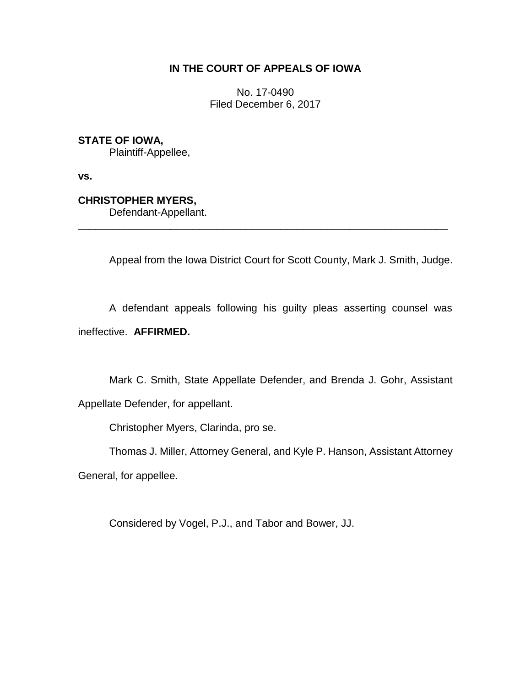## **IN THE COURT OF APPEALS OF IOWA**

No. 17-0490 Filed December 6, 2017

**STATE OF IOWA,**

Plaintiff-Appellee,

**vs.**

**CHRISTOPHER MYERS,**

Defendant-Appellant.

Appeal from the Iowa District Court for Scott County, Mark J. Smith, Judge.

A defendant appeals following his guilty pleas asserting counsel was ineffective. **AFFIRMED.**

\_\_\_\_\_\_\_\_\_\_\_\_\_\_\_\_\_\_\_\_\_\_\_\_\_\_\_\_\_\_\_\_\_\_\_\_\_\_\_\_\_\_\_\_\_\_\_\_\_\_\_\_\_\_\_\_\_\_\_\_\_\_\_\_

Mark C. Smith, State Appellate Defender, and Brenda J. Gohr, Assistant Appellate Defender, for appellant.

Christopher Myers, Clarinda, pro se.

Thomas J. Miller, Attorney General, and Kyle P. Hanson, Assistant Attorney

General, for appellee.

Considered by Vogel, P.J., and Tabor and Bower, JJ.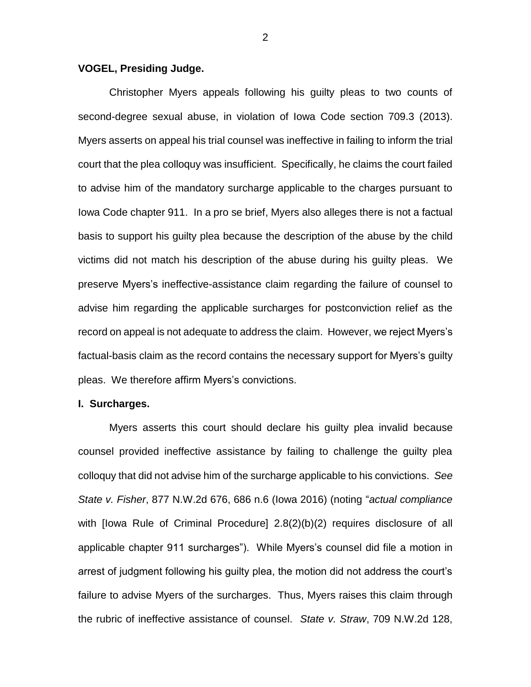## **VOGEL, Presiding Judge.**

Christopher Myers appeals following his guilty pleas to two counts of second-degree sexual abuse, in violation of Iowa Code section 709.3 (2013). Myers asserts on appeal his trial counsel was ineffective in failing to inform the trial court that the plea colloquy was insufficient. Specifically, he claims the court failed to advise him of the mandatory surcharge applicable to the charges pursuant to Iowa Code chapter 911. In a pro se brief, Myers also alleges there is not a factual basis to support his guilty plea because the description of the abuse by the child victims did not match his description of the abuse during his guilty pleas. We preserve Myers's ineffective-assistance claim regarding the failure of counsel to advise him regarding the applicable surcharges for postconviction relief as the record on appeal is not adequate to address the claim. However, we reject Myers's factual-basis claim as the record contains the necessary support for Myers's guilty pleas. We therefore affirm Myers's convictions.

## **I. Surcharges.**

Myers asserts this court should declare his guilty plea invalid because counsel provided ineffective assistance by failing to challenge the guilty plea colloquy that did not advise him of the surcharge applicable to his convictions. *See State v. Fisher*, 877 N.W.2d 676, 686 n.6 (Iowa 2016) (noting "*actual compliance* with [Iowa Rule of Criminal Procedure] 2.8(2)(b)(2) requires disclosure of all applicable chapter 911 surcharges"). While Myers's counsel did file a motion in arrest of judgment following his guilty plea, the motion did not address the court's failure to advise Myers of the surcharges. Thus, Myers raises this claim through the rubric of ineffective assistance of counsel. *State v. Straw*, 709 N.W.2d 128,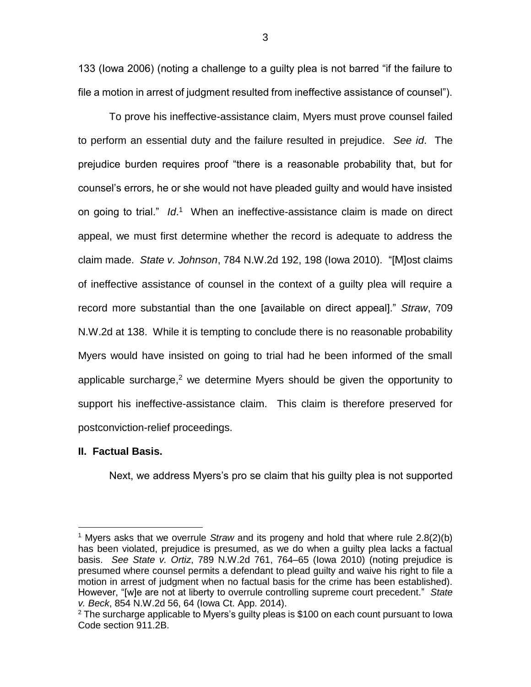133 (Iowa 2006) (noting a challenge to a guilty plea is not barred "if the failure to file a motion in arrest of judgment resulted from ineffective assistance of counsel").

To prove his ineffective-assistance claim, Myers must prove counsel failed to perform an essential duty and the failure resulted in prejudice. *See id*. The prejudice burden requires proof "there is a reasonable probability that, but for counsel's errors, he or she would not have pleaded guilty and would have insisted on going to trial." Id.<sup>1</sup> When an ineffective-assistance claim is made on direct appeal, we must first determine whether the record is adequate to address the claim made. *State v. Johnson*, 784 N.W.2d 192, 198 (Iowa 2010). "[M]ost claims of ineffective assistance of counsel in the context of a guilty plea will require a record more substantial than the one [available on direct appeal]." *Straw*, 709 N.W.2d at 138. While it is tempting to conclude there is no reasonable probability Myers would have insisted on going to trial had he been informed of the small applicable surcharge,<sup>2</sup> we determine Myers should be given the opportunity to support his ineffective-assistance claim. This claim is therefore preserved for postconviction-relief proceedings.

## **II. Factual Basis.**

 $\overline{a}$ 

Next, we address Myers's pro se claim that his guilty plea is not supported

<sup>1</sup> Myers asks that we overrule *Straw* and its progeny and hold that where rule 2.8(2)(b) has been violated, prejudice is presumed, as we do when a guilty plea lacks a factual basis. *See State v. Ortiz*, 789 N.W.2d 761, 764–65 (Iowa 2010) (noting prejudice is presumed where counsel permits a defendant to plead guilty and waive his right to file a motion in arrest of judgment when no factual basis for the crime has been established). However, "[w]e are not at liberty to overrule controlling supreme court precedent." *State v. Beck*, 854 N.W.2d 56, 64 (Iowa Ct. App. 2014).

 $2$  The surcharge applicable to Myers's guilty pleas is \$100 on each count pursuant to lowa Code section 911.2B.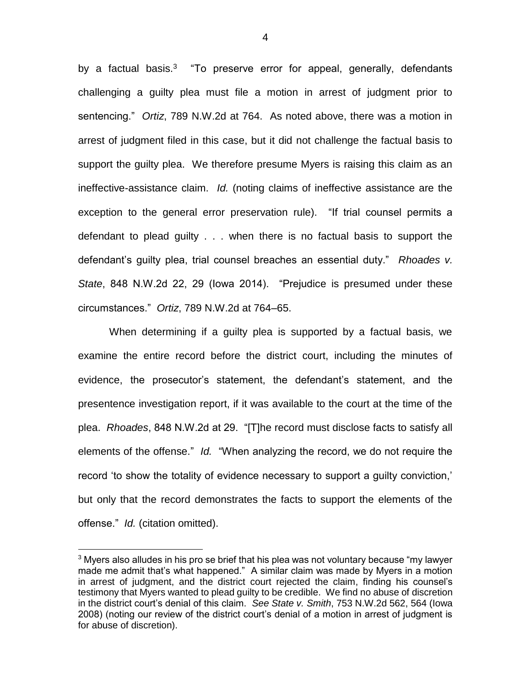by a factual basis.<sup>3</sup> "To preserve error for appeal, generally, defendants challenging a guilty plea must file a motion in arrest of judgment prior to sentencing." *Ortiz*, 789 N.W.2d at 764. As noted above, there was a motion in arrest of judgment filed in this case, but it did not challenge the factual basis to support the guilty plea. We therefore presume Myers is raising this claim as an ineffective-assistance claim. *Id.* (noting claims of ineffective assistance are the exception to the general error preservation rule). "If trial counsel permits a defendant to plead guilty . . . when there is no factual basis to support the defendant's guilty plea, trial counsel breaches an essential duty." *Rhoades v. State*, 848 N.W.2d 22, 29 (Iowa 2014). "Prejudice is presumed under these circumstances." *Ortiz*, 789 N.W.2d at 764–65.

When determining if a guilty plea is supported by a factual basis, we examine the entire record before the district court, including the minutes of evidence, the prosecutor's statement, the defendant's statement, and the presentence investigation report, if it was available to the court at the time of the plea. *Rhoades*, 848 N.W.2d at 29. "[T]he record must disclose facts to satisfy all elements of the offense." *Id.* "When analyzing the record, we do not require the record 'to show the totality of evidence necessary to support a guilty conviction,' but only that the record demonstrates the facts to support the elements of the offense." *Id.* (citation omitted).

 $\overline{a}$ 

 $3$  Myers also alludes in his pro se brief that his plea was not voluntary because "my lawyer made me admit that's what happened." A similar claim was made by Myers in a motion in arrest of judgment, and the district court rejected the claim, finding his counsel's testimony that Myers wanted to plead guilty to be credible. We find no abuse of discretion in the district court's denial of this claim. *See State v. Smith*, 753 N.W.2d 562, 564 (Iowa 2008) (noting our review of the district court's denial of a motion in arrest of judgment is for abuse of discretion).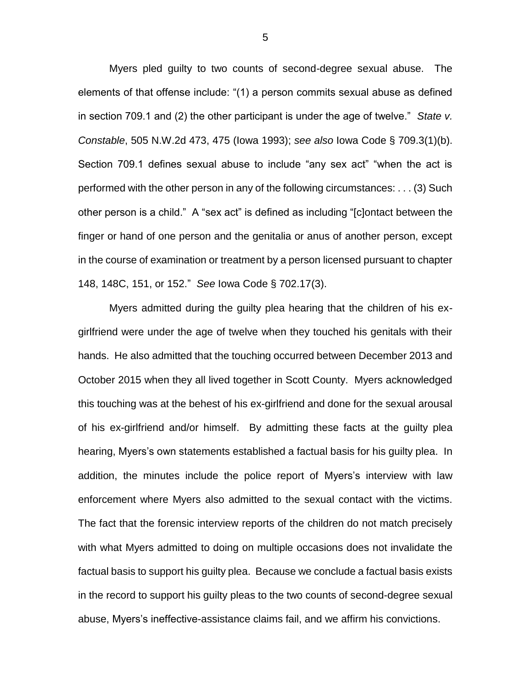Myers pled guilty to two counts of second-degree sexual abuse. The elements of that offense include: "(1) a person commits sexual abuse as defined in section 709.1 and (2) the other participant is under the age of twelve." *State v. Constable*, 505 N.W.2d 473, 475 (Iowa 1993); *see also* Iowa Code § 709.3(1)(b). Section 709.1 defines sexual abuse to include "any sex act" "when the act is performed with the other person in any of the following circumstances: . . . (3) Such other person is a child." A "sex act" is defined as including "[c]ontact between the finger or hand of one person and the genitalia or anus of another person, except in the course of examination or treatment by a person licensed pursuant to chapter 148, 148C, 151, or 152." *See* Iowa Code § 702.17(3).

Myers admitted during the guilty plea hearing that the children of his exgirlfriend were under the age of twelve when they touched his genitals with their hands. He also admitted that the touching occurred between December 2013 and October 2015 when they all lived together in Scott County. Myers acknowledged this touching was at the behest of his ex-girlfriend and done for the sexual arousal of his ex-girlfriend and/or himself. By admitting these facts at the guilty plea hearing, Myers's own statements established a factual basis for his guilty plea. In addition, the minutes include the police report of Myers's interview with law enforcement where Myers also admitted to the sexual contact with the victims. The fact that the forensic interview reports of the children do not match precisely with what Myers admitted to doing on multiple occasions does not invalidate the factual basis to support his guilty plea. Because we conclude a factual basis exists in the record to support his guilty pleas to the two counts of second-degree sexual abuse, Myers's ineffective-assistance claims fail, and we affirm his convictions.